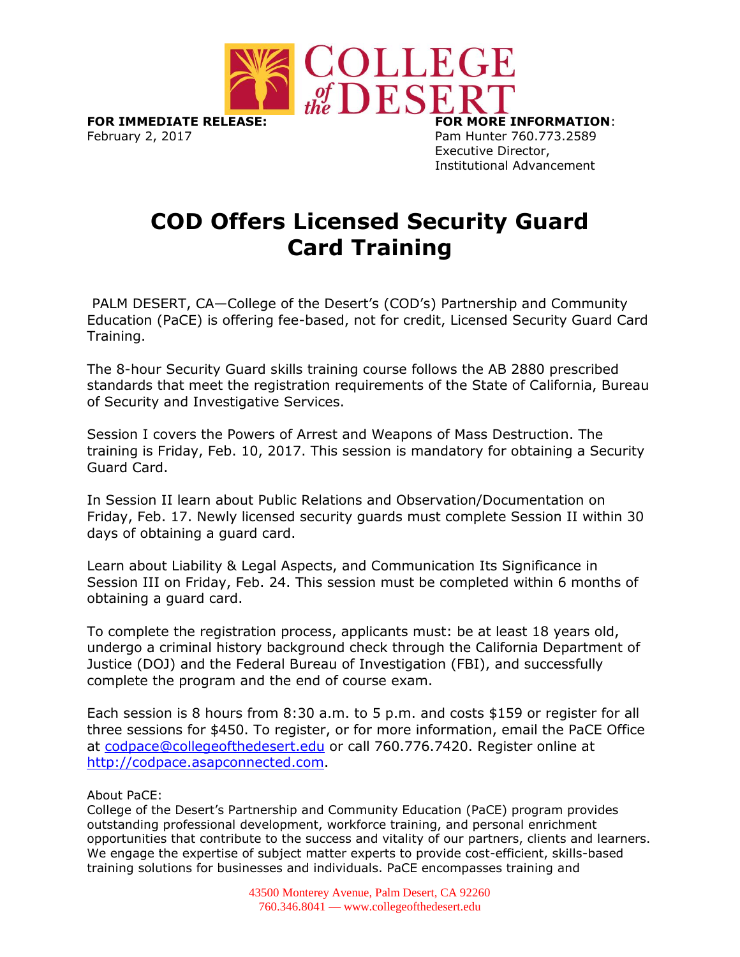

February 2, 2017 **Pam Hunter 760.773.2589** 

Executive Director, Institutional Advancement

## **COD Offers Licensed Security Guard Card Training**

PALM DESERT, CA—College of the Desert's (COD's) Partnership and Community Education (PaCE) is offering fee-based, not for credit, Licensed Security Guard Card Training.

The 8-hour Security Guard skills training course follows the AB 2880 prescribed standards that meet the registration requirements of the State of California, Bureau of Security and Investigative Services.

Session I covers the Powers of Arrest and Weapons of Mass Destruction. The training is Friday, Feb. 10, 2017. This session is mandatory for obtaining a Security Guard Card.

In Session II learn about Public Relations and Observation/Documentation on Friday, Feb. 17. Newly licensed security guards must complete Session II within 30 days of obtaining a guard card.

Learn about Liability & Legal Aspects, and Communication Its Significance in Session III on Friday, Feb. 24. This session must be completed within 6 months of obtaining a guard card.

To complete the registration process, applicants must: be at least 18 years old, undergo a criminal history background check through the California Department of Justice (DOJ) and the Federal Bureau of Investigation (FBI), and successfully complete the program and the end of course exam.

Each session is 8 hours from 8:30 a.m. to 5 p.m. and costs \$159 or register for all three sessions for \$450. To register, or for more information, email the PaCE Office at [codpace@collegeofthedesert.edu](mailto:codpace@collegeofthedesert.edu) or call 760.776.7420. Register online at [http://codpace.asapconnected.com.](http://codpace.asapconnected.com/)

About PaCE:

College of the Desert's Partnership and Community Education (PaCE) program provides outstanding professional development, workforce training, and personal enrichment opportunities that contribute to the success and vitality of our partners, clients and learners. We engage the expertise of subject matter experts to provide cost-efficient, skills-based training solutions for businesses and individuals. PaCE encompasses training and